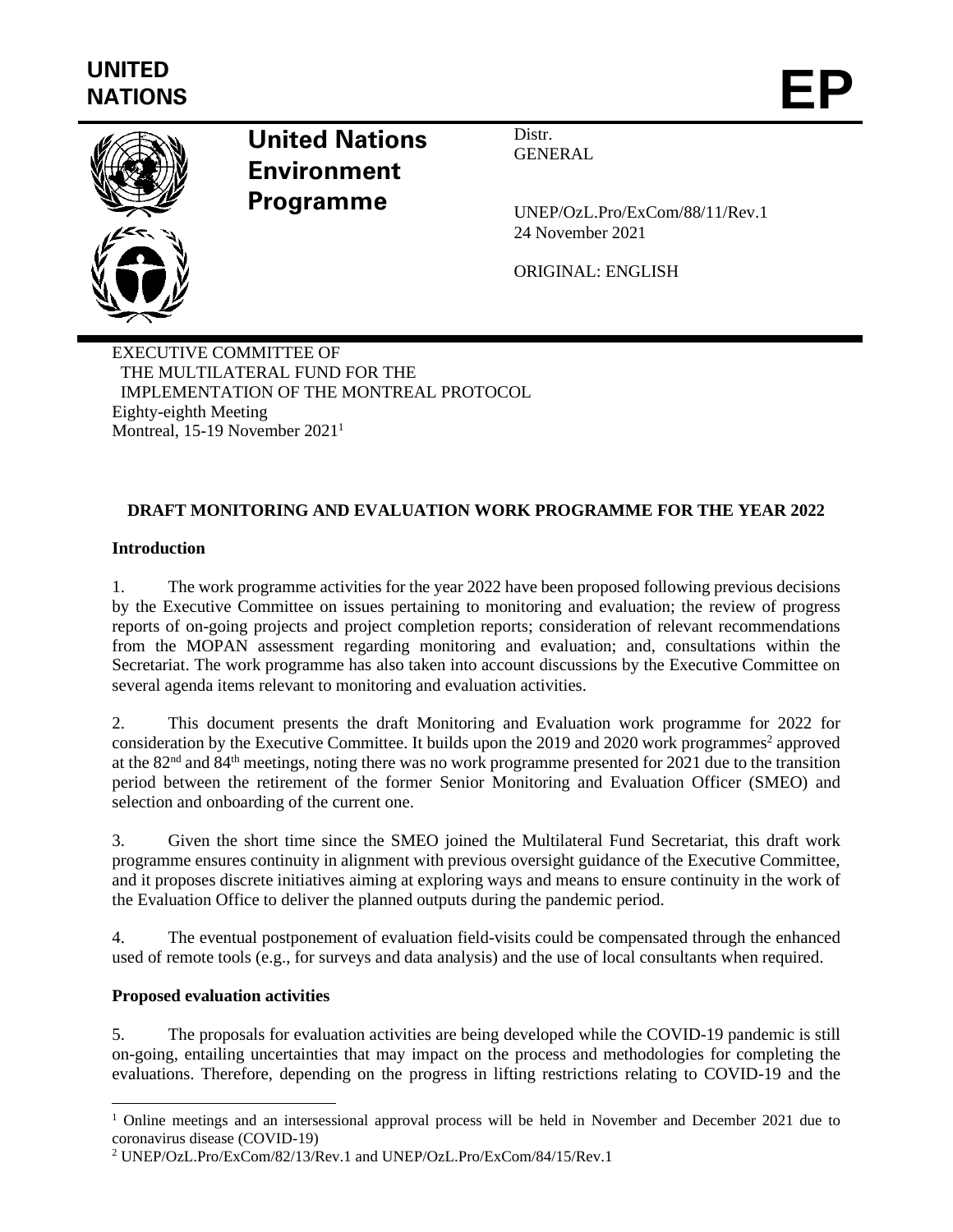

# **United Nations Environment Programme**

Distr. **GENERAL** 

UNEP/OzL.Pro/ExCom/88/11/Rev.1 24 November 2021

ORIGINAL: ENGLISH

EXECUTIVE COMMITTEE OF THE MULTILATERAL FUND FOR THE IMPLEMENTATION OF THE MONTREAL PROTOCOL Eighty-eighth Meeting Montreal, 15-19 November 2021<sup>1</sup>

# **DRAFT MONITORING AND EVALUATION WORK PROGRAMME FOR THE YEAR 2022**

# **Introduction**

1. The work programme activities for the year 2022 have been proposed following previous decisions by the Executive Committee on issues pertaining to monitoring and evaluation; the review of progress reports of on-going projects and project completion reports; consideration of relevant recommendations from the MOPAN assessment regarding monitoring and evaluation; and, consultations within the Secretariat. The work programme has also taken into account discussions by the Executive Committee on several agenda items relevant to monitoring and evaluation activities.

2. This document presents the draft Monitoring and Evaluation work programme for 2022 for consideration by the Executive Committee. It builds upon the 2019 and 2020 work programmes<sup>2</sup> approved at the 82nd and 84th meetings, noting there was no work programme presented for 2021 due to the transition period between the retirement of the former Senior Monitoring and Evaluation Officer (SMEO) and selection and onboarding of the current one.

3. Given the short time since the SMEO joined the Multilateral Fund Secretariat, this draft work programme ensures continuity in alignment with previous oversight guidance of the Executive Committee, and it proposes discrete initiatives aiming at exploring ways and means to ensure continuity in the work of the Evaluation Office to deliver the planned outputs during the pandemic period.

4. The eventual postponement of evaluation field-visits could be compensated through the enhanced used of remote tools (e.g., for surveys and data analysis) and the use of local consultants when required.

# **Proposed evaluation activities**

5. The proposals for evaluation activities are being developed while the COVID-19 pandemic is still on-going, entailing uncertainties that may impact on the process and methodologies for completing the evaluations. Therefore, depending on the progress in lifting restrictions relating to COVID-19 and the

<sup>&</sup>lt;sup>1</sup> Online meetings and an intersessional approval process will be held in November and December 2021 due to coronavirus disease (COVID-19)

<sup>2</sup> UNEP/OzL.Pro/ExCom/82/13/Rev.1 and UNEP/OzL.Pro/ExCom/84/15/Rev.1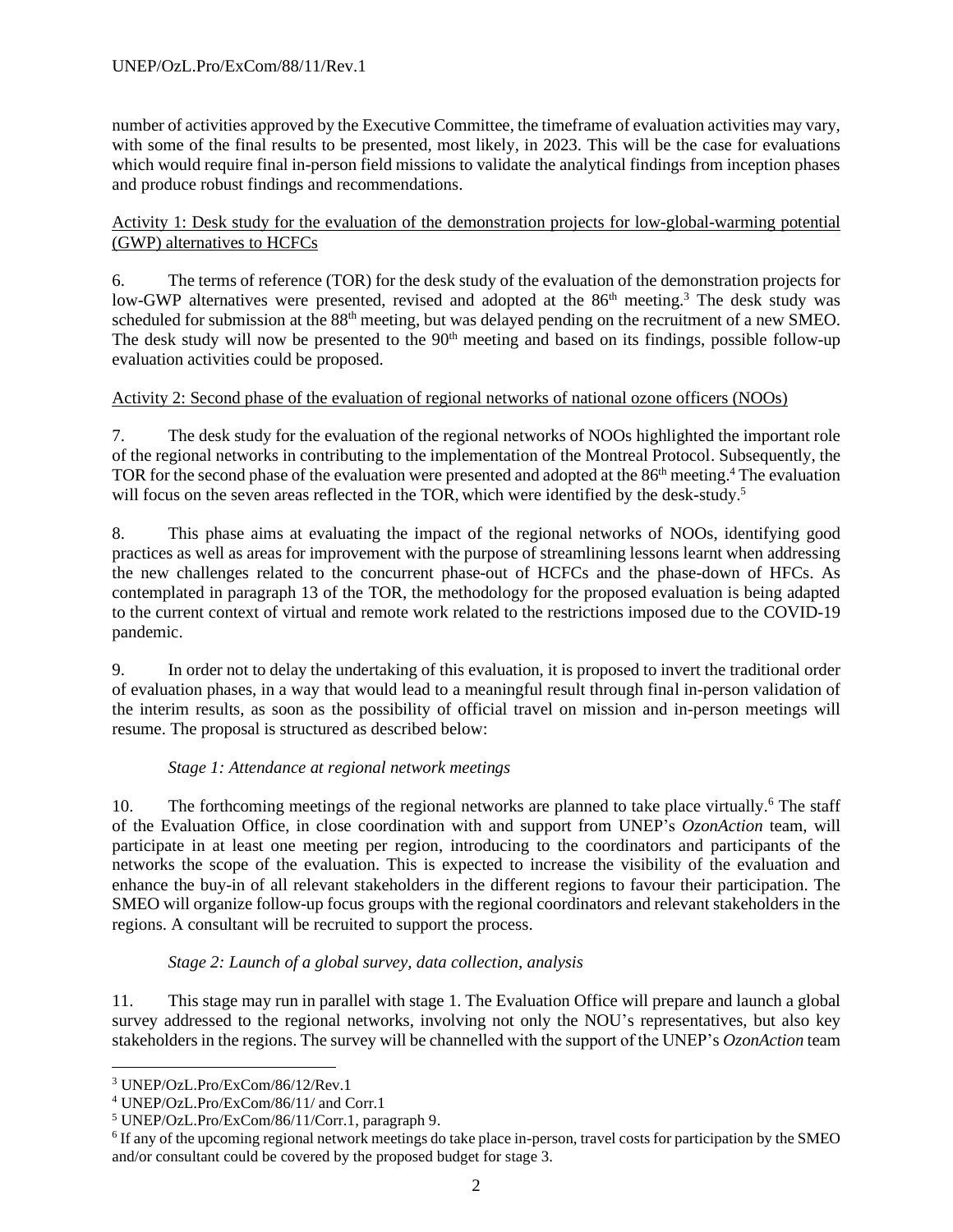number of activities approved by the Executive Committee, the timeframe of evaluation activities may vary, with some of the final results to be presented, most likely, in 2023. This will be the case for evaluations which would require final in-person field missions to validate the analytical findings from inception phases and produce robust findings and recommendations.

Activity 1: Desk study for the evaluation of the demonstration projects for low-global-warming potential (GWP) alternatives to HCFCs

6. The terms of reference (TOR) for the desk study of the evaluation of the demonstration projects for low-GWP alternatives were presented, revised and adopted at the 86<sup>th</sup> meeting.<sup>3</sup> The desk study was scheduled for submission at the 88<sup>th</sup> meeting, but was delayed pending on the recruitment of a new SMEO. The desk study will now be presented to the  $90<sup>th</sup>$  meeting and based on its findings, possible follow-up evaluation activities could be proposed.

## Activity 2: Second phase of the evaluation of regional networks of national ozone officers (NOOs)

7. The desk study for the evaluation of the regional networks of NOOs highlighted the important role of the regional networks in contributing to the implementation of the Montreal Protocol. Subsequently, the TOR for the second phase of the evaluation were presented and adopted at the 86<sup>th</sup> meeting.<sup>4</sup> The evaluation will focus on the seven areas reflected in the TOR, which were identified by the desk-study.<sup>5</sup>

8. This phase aims at evaluating the impact of the regional networks of NOOs, identifying good practices as well as areas for improvement with the purpose of streamlining lessons learnt when addressing the new challenges related to the concurrent phase-out of HCFCs and the phase-down of HFCs. As contemplated in paragraph 13 of the TOR, the methodology for the proposed evaluation is being adapted to the current context of virtual and remote work related to the restrictions imposed due to the COVID-19 pandemic.

9. In order not to delay the undertaking of this evaluation, it is proposed to invert the traditional order of evaluation phases, in a way that would lead to a meaningful result through final in-person validation of the interim results, as soon as the possibility of official travel on mission and in-person meetings will resume. The proposal is structured as described below:

#### *Stage 1: Attendance at regional network meetings*

10. The forthcoming meetings of the regional networks are planned to take place virtually.<sup>6</sup> The staff of the Evaluation Office, in close coordination with and support from UNEP's *OzonAction* team, will participate in at least one meeting per region, introducing to the coordinators and participants of the networks the scope of the evaluation. This is expected to increase the visibility of the evaluation and enhance the buy-in of all relevant stakeholders in the different regions to favour their participation. The SMEO will organize follow-up focus groups with the regional coordinators and relevant stakeholders in the regions. A consultant will be recruited to support the process.

#### *Stage 2: Launch of a global survey, data collection, analysis*

11. This stage may run in parallel with stage 1. The Evaluation Office will prepare and launch a global survey addressed to the regional networks, involving not only the NOU's representatives, but also key stakeholders in the regions. The survey will be channelled with the support of the UNEP's *OzonAction* team

<sup>3</sup> UNEP/OzL.Pro/ExCom/86/12/Rev.1

<sup>4</sup> UNEP/OzL.Pro/ExCom/86/11/ and Corr.1

<sup>5</sup> UNEP/OzL.Pro/ExCom/86/11/Corr.1, paragraph 9.

<sup>&</sup>lt;sup>6</sup> If any of the upcoming regional network meetings do take place in-person, travel costs for participation by the SMEO and/or consultant could be covered by the proposed budget for stage 3.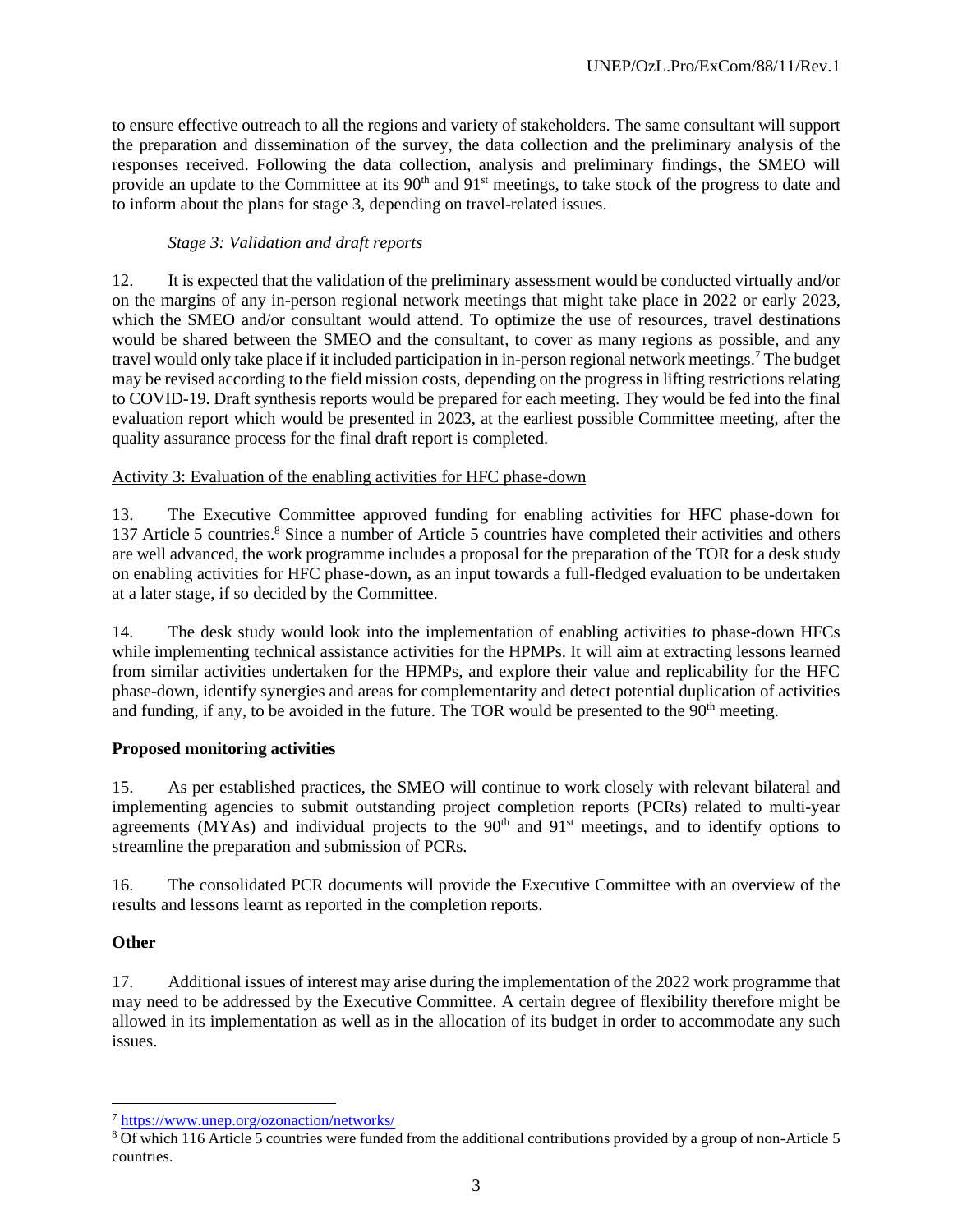to ensure effective outreach to all the regions and variety of stakeholders. The same consultant will support the preparation and dissemination of the survey, the data collection and the preliminary analysis of the responses received. Following the data collection, analysis and preliminary findings, the SMEO will provide an update to the Committee at its 90<sup>th</sup> and 91<sup>st</sup> meetings, to take stock of the progress to date and to inform about the plans for stage 3, depending on travel-related issues.

## *Stage 3: Validation and draft reports*

12. It is expected that the validation of the preliminary assessment would be conducted virtually and/or on the margins of any in-person regional network meetings that might take place in 2022 or early 2023, which the SMEO and/or consultant would attend. To optimize the use of resources, travel destinations would be shared between the SMEO and the consultant, to cover as many regions as possible, and any travel would only take place if it included participation in in-person regional network meetings. <sup>7</sup> The budget may be revised according to the field mission costs, depending on the progress in lifting restrictions relating to COVID-19. Draft synthesis reports would be prepared for each meeting. They would be fed into the final evaluation report which would be presented in 2023, at the earliest possible Committee meeting, after the quality assurance process for the final draft report is completed.

#### Activity 3: Evaluation of the enabling activities for HFC phase-down

13. The Executive Committee approved funding for enabling activities for HFC phase-down for 137 Article 5 countries.<sup>8</sup> Since a number of Article 5 countries have completed their activities and others are well advanced, the work programme includes a proposal for the preparation of the TOR for a desk study on enabling activities for HFC phase-down, as an input towards a full-fledged evaluation to be undertaken at a later stage, if so decided by the Committee.

14. The desk study would look into the implementation of enabling activities to phase-down HFCs while implementing technical assistance activities for the HPMPs. It will aim at extracting lessons learned from similar activities undertaken for the HPMPs, and explore their value and replicability for the HFC phase-down, identify synergies and areas for complementarity and detect potential duplication of activities and funding, if any, to be avoided in the future. The TOR would be presented to the  $90<sup>th</sup>$  meeting.

# **Proposed monitoring activities**

15. As per established practices, the SMEO will continue to work closely with relevant bilateral and implementing agencies to submit outstanding project completion reports (PCRs) related to multi-year agreements (MYAs) and individual projects to the  $90<sup>th</sup>$  and  $91<sup>st</sup>$  meetings, and to identify options to streamline the preparation and submission of PCRs.

16. The consolidated PCR documents will provide the Executive Committee with an overview of the results and lessons learnt as reported in the completion reports.

#### **Other**

17. Additional issues of interest may arise during the implementation of the 2022 work programme that may need to be addressed by the Executive Committee. A certain degree of flexibility therefore might be allowed in its implementation as well as in the allocation of its budget in order to accommodate any such issues.

<sup>7</sup> <https://www.unep.org/ozonaction/networks/>

<sup>8</sup> Of which 116 Article 5 countries were funded from the additional contributions provided by a group of non-Article 5 countries.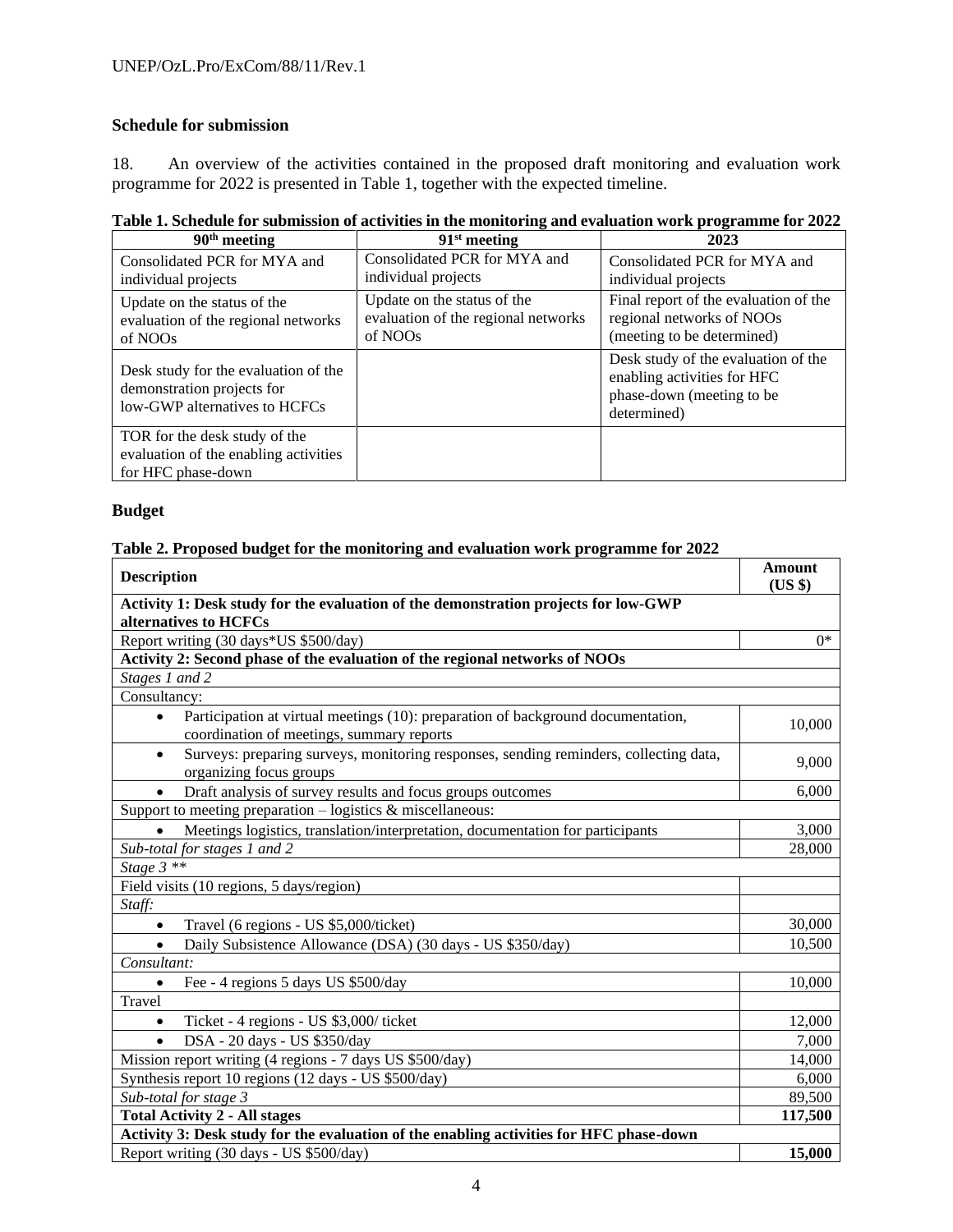# **Schedule for submission**

18. An overview of the activities contained in the proposed draft monitoring and evaluation work programme for 2022 is presented in Table 1, together with the expected timeline.

|  |  | Table 1. Schedule for submission of activities in the monitoring and evaluation work programme for 2022 |  |  |
|--|--|---------------------------------------------------------------------------------------------------------|--|--|
|  |  |                                                                                                         |  |  |

| 90 <sup>th</sup> meeting                                                                            | $91st$ meeting                                                                | 2023                                                                                                           |
|-----------------------------------------------------------------------------------------------------|-------------------------------------------------------------------------------|----------------------------------------------------------------------------------------------------------------|
| Consolidated PCR for MYA and<br>individual projects                                                 | Consolidated PCR for MYA and<br>individual projects                           | Consolidated PCR for MYA and<br>individual projects                                                            |
| Update on the status of the<br>evaluation of the regional networks<br>of NOOs                       | Update on the status of the<br>evaluation of the regional networks<br>of NOOs | Final report of the evaluation of the<br>regional networks of NOOs<br>(meeting to be determined)               |
| Desk study for the evaluation of the<br>demonstration projects for<br>low-GWP alternatives to HCFCs |                                                                               | Desk study of the evaluation of the<br>enabling activities for HFC<br>phase-down (meeting to be<br>determined) |
| TOR for the desk study of the<br>evaluation of the enabling activities<br>for HFC phase-down        |                                                                               |                                                                                                                |

# **Budget**

## **Table 2. Proposed budget for the monitoring and evaluation work programme for 2022**

| <b>Description</b>                                                                                                            | <b>Amount</b><br>(US \$) |  |  |  |  |  |
|-------------------------------------------------------------------------------------------------------------------------------|--------------------------|--|--|--|--|--|
| Activity 1: Desk study for the evaluation of the demonstration projects for low-GWP<br>alternatives to HCFCs                  |                          |  |  |  |  |  |
| Report writing (30 days*US \$500/day)                                                                                         | $0^*$                    |  |  |  |  |  |
| Activity 2: Second phase of the evaluation of the regional networks of NOOs                                                   |                          |  |  |  |  |  |
| Stages 1 and 2                                                                                                                |                          |  |  |  |  |  |
| Consultancy:                                                                                                                  |                          |  |  |  |  |  |
| Participation at virtual meetings (10): preparation of background documentation,<br>coordination of meetings, summary reports | 10,000                   |  |  |  |  |  |
| Surveys: preparing surveys, monitoring responses, sending reminders, collecting data,<br>$\bullet$<br>organizing focus groups | 9,000                    |  |  |  |  |  |
| Draft analysis of survey results and focus groups outcomes<br>$\bullet$                                                       | 6,000                    |  |  |  |  |  |
| Support to meeting preparation $-$ logistics $\&$ miscellaneous:                                                              |                          |  |  |  |  |  |
| Meetings logistics, translation/interpretation, documentation for participants                                                |                          |  |  |  |  |  |
| Sub-total for stages 1 and 2                                                                                                  |                          |  |  |  |  |  |
| Stage $3$ **                                                                                                                  |                          |  |  |  |  |  |
| Field visits (10 regions, 5 days/region)                                                                                      |                          |  |  |  |  |  |
| Staff:                                                                                                                        |                          |  |  |  |  |  |
| Travel (6 regions - US \$5,000/ticket)<br>$\bullet$                                                                           | 30,000                   |  |  |  |  |  |
| Daily Subsistence Allowance (DSA) (30 days - US \$350/day)<br>$\bullet$                                                       | 10,500                   |  |  |  |  |  |
| Consultant:                                                                                                                   |                          |  |  |  |  |  |
| Fee - 4 regions 5 days US \$500/day                                                                                           | 10,000                   |  |  |  |  |  |
| Travel                                                                                                                        |                          |  |  |  |  |  |
| Ticket - 4 regions - US \$3,000/ticket<br>$\bullet$                                                                           | 12,000<br>7,000          |  |  |  |  |  |
| DSA - 20 days - US \$350/day<br>$\bullet$                                                                                     |                          |  |  |  |  |  |
| Mission report writing (4 regions - 7 days US \$500/day)                                                                      | 14,000<br>6,000          |  |  |  |  |  |
| Synthesis report 10 regions (12 days - US \$500/day)                                                                          |                          |  |  |  |  |  |
| Sub-total for stage 3                                                                                                         |                          |  |  |  |  |  |
| <b>Total Activity 2 - All stages</b>                                                                                          |                          |  |  |  |  |  |
| Activity 3: Desk study for the evaluation of the enabling activities for HFC phase-down                                       |                          |  |  |  |  |  |
| Report writing (30 days - US \$500/day)                                                                                       | 15,000                   |  |  |  |  |  |